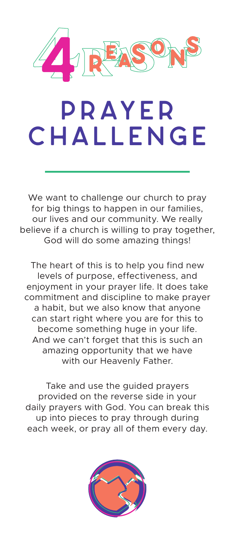

## **prayer challenge**

We want to challenge our church to pray for big things to happen in our families, our lives and our community. We really believe if a church is willing to pray together, God will do some amazing things!

The heart of this is to help you find new levels of purpose, effectiveness, and enjoyment in your prayer life. It does take commitment and discipline to make prayer a habit, but we also know that anyone can start right where you are for this to become something huge in your life. And we can't forget that this is such an amazing opportunity that we have with our Heavenly Father.

Take and use the guided prayers provided on the reverse side in your daily prayers with God. You can break this up into pieces to pray through during each week, or pray all of them every day.